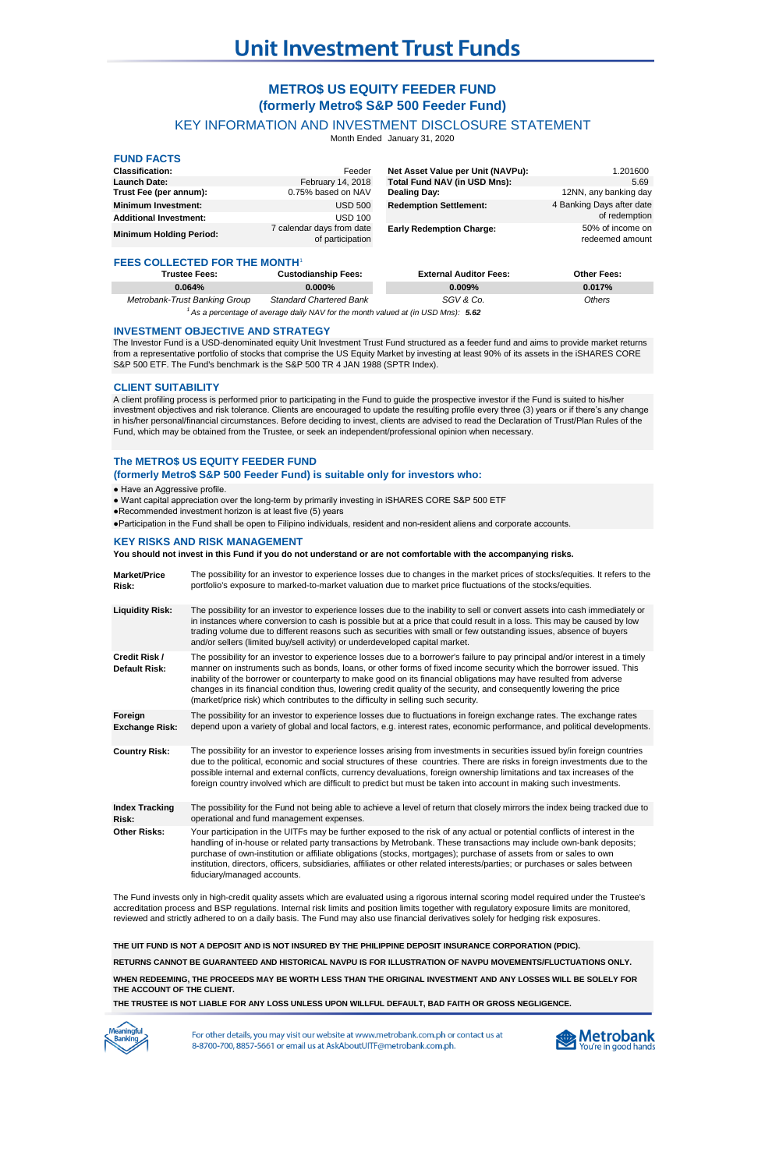# **METRO\$ US EQUITY FEEDER FUND (formerly Metro\$ S&P 500 Feeder Fund)**

KEY INFORMATION AND INVESTMENT DISCLOSURE STATEMENT

Month Ended January 31, 2020

| <b>FUND FACTS</b>                    |                                               |                                   |                                     |  |  |  |
|--------------------------------------|-----------------------------------------------|-----------------------------------|-------------------------------------|--|--|--|
| <b>Classification:</b>               | Feeder                                        | Net Asset Value per Unit (NAVPu): | 1.201600                            |  |  |  |
| <b>Launch Date:</b>                  | February 14, 2018                             | Total Fund NAV (in USD Mns):      | 5.69                                |  |  |  |
| Trust Fee (per annum):               | 0.75% based on NAV                            | Dealing Day:                      | 12NN, any banking day               |  |  |  |
| <b>Minimum Investment:</b>           | <b>USD 500</b>                                | <b>Redemption Settlement:</b>     | 4 Banking Days after date           |  |  |  |
| <b>Additional Investment:</b>        | <b>USD 100</b>                                |                                   | of redemption                       |  |  |  |
| <b>Minimum Holding Period:</b>       | 7 calendar days from date<br>of participation | <b>Early Redemption Charge:</b>   | 50% of income on<br>redeemed amount |  |  |  |
| <b>FEES COLLECTED FOR THE MONTH'</b> |                                               |                                   |                                     |  |  |  |
| <b>Trustee Fees:</b>                 | <b>Custodianship Fees:</b>                    | <b>External Auditor Fees:</b>     | Other Fees:                         |  |  |  |
| 0.064%                               | 0.000%                                        | 0.009%                            | 0.017%                              |  |  |  |

<sup>1</sup> As a percentage of average daily NAV for the month valued at (in USD Mns): 5.62 *Metrobank-Trust Banking Group Standard Chartered Bank SGV & Co. Others*

#### **INVESTMENT OBJECTIVE AND STRATEGY**

The Investor Fund is a USD-denominated equity Unit Investment Trust Fund structured as a feeder fund and aims to provide market returns from a representative portfolio of stocks that comprise the US Equity Market by investing at least 90% of its assets in the iSHARES CORE S&P 500 ETF. The Fund's benchmark is the S&P 500 TR 4 JAN 1988 (SPTR Index).

# **CLIENT SUITABILITY**

A client profiling process is performed prior to participating in the Fund to guide the prospective investor if the Fund is suited to his/her investment objectives and risk tolerance. Clients are encouraged to update the resulting profile every three (3) years or if there's any change in his/her personal/financial circumstances. Before deciding to invest, clients are advised to read the Declaration of Trust/Plan Rules of the Fund, which may be obtained from the Trustee, or seek an independent/professional opinion when necessary.

# **The METRO\$ US EQUITY FEEDER FUND (formerly Metro\$ S&P 500 Feeder Fund) is suitable only for investors who:**

#### ● Have an Aggressive profile.

- Want capital appreciation over the long-term by primarily investing in iSHARES CORE S&P 500 ETF
- ●Recommended investment horizon is at least five (5) years

●Participation in the Fund shall be open to Filipino individuals, resident and non-resident aliens and corporate accounts.

#### **KEY RISKS AND RISK MANAGEMENT**

**You should not invest in this Fund if you do not understand or are not comfortable with the accompanying risks.**

| <b>Market/Price</b><br>Risk:     | The possibility for an investor to experience losses due to changes in the market prices of stocks/equities. It refers to the<br>portfolio's exposure to marked-to-market valuation due to market price fluctuations of the stocks/equities.                                                                                                                                                                                                                                                                                                                                             |
|----------------------------------|------------------------------------------------------------------------------------------------------------------------------------------------------------------------------------------------------------------------------------------------------------------------------------------------------------------------------------------------------------------------------------------------------------------------------------------------------------------------------------------------------------------------------------------------------------------------------------------|
| <b>Liquidity Risk:</b>           | The possibility for an investor to experience losses due to the inability to sell or convert assets into cash immediately or<br>in instances where conversion to cash is possible but at a price that could result in a loss. This may be caused by low<br>trading volume due to different reasons such as securities with small or few outstanding issues, absence of buyers<br>and/or sellers (limited buy/sell activity) or underdeveloped capital market.                                                                                                                            |
| Credit Risk /<br>Default Risk:   | The possibility for an investor to experience losses due to a borrower's failure to pay principal and/or interest in a timely<br>manner on instruments such as bonds, loans, or other forms of fixed income security which the borrower issued. This<br>inability of the borrower or counterparty to make good on its financial obligations may have resulted from adverse<br>changes in its financial condition thus, lowering credit quality of the security, and consequently lowering the price<br>(market/price risk) which contributes to the difficulty in selling such security. |
| Foreign<br><b>Exchange Risk:</b> | The possibility for an investor to experience losses due to fluctuations in foreign exchange rates. The exchange rates<br>depend upon a variety of global and local factors, e.g. interest rates, economic performance, and political developments.                                                                                                                                                                                                                                                                                                                                      |
| <b>Country Risk:</b>             | The possibility for an investor to experience losses arising from investments in securities issued by/in foreign countries<br>due to the political, economic and social structures of these countries. There are risks in foreign investments due to the<br>possible internal and external conflicts, currency devaluations, foreign ownership limitations and tax increases of the<br>foreign country involved which are difficult to predict but must be taken into account in making such investments.                                                                                |
| <b>Index Tracking</b><br>Risk:   | The possibility for the Fund not being able to achieve a level of return that closely mirrors the index being tracked due to<br>operational and fund management expenses.                                                                                                                                                                                                                                                                                                                                                                                                                |
| <b>Other Risks:</b>              | Your participation in the UITFs may be further exposed to the risk of any actual or potential conflicts of interest in the<br>handling of in-house or related party transactions by Metrobank. These transactions may include own-bank deposits;<br>purchase of own-institution or affiliate obligations (stocks, mortgages); purchase of assets from or sales to own<br>institution, directors, officers, subsidiaries, affiliates or other related interests/parties; or purchases or sales between<br>fiduciary/managed accounts.                                                     |

The Fund invests only in high-credit quality assets which are evaluated using a rigorous internal scoring model required under the Trustee's accreditation process and BSP regulations. Internal risk limits and position limits together with regulatory exposure limits are monitored, reviewed and strictly adhered to on a daily basis. The Fund may also use financial derivatives solely for hedging risk exposures.

**THE UIT FUND IS NOT A DEPOSIT AND IS NOT INSURED BY THE PHILIPPINE DEPOSIT INSURANCE CORPORATION (PDIC).**

**RETURNS CANNOT BE GUARANTEED AND HISTORICAL NAVPU IS FOR ILLUSTRATION OF NAVPU MOVEMENTS/FLUCTUATIONS ONLY.**

**WHEN REDEEMING, THE PROCEEDS MAY BE WORTH LESS THAN THE ORIGINAL INVESTMENT AND ANY LOSSES WILL BE SOLELY FOR THE ACCOUNT OF THE CLIENT.**

**THE TRUSTEE IS NOT LIABLE FOR ANY LOSS UNLESS UPON WILLFUL DEFAULT, BAD FAITH OR GROSS NEGLIGENCE.**



For other details, you may visit our website at www.metrobank.com.ph or contact us at 8-8700-700, 8857-5661 or email us at AskAboutUITF@metrobank.com.ph.

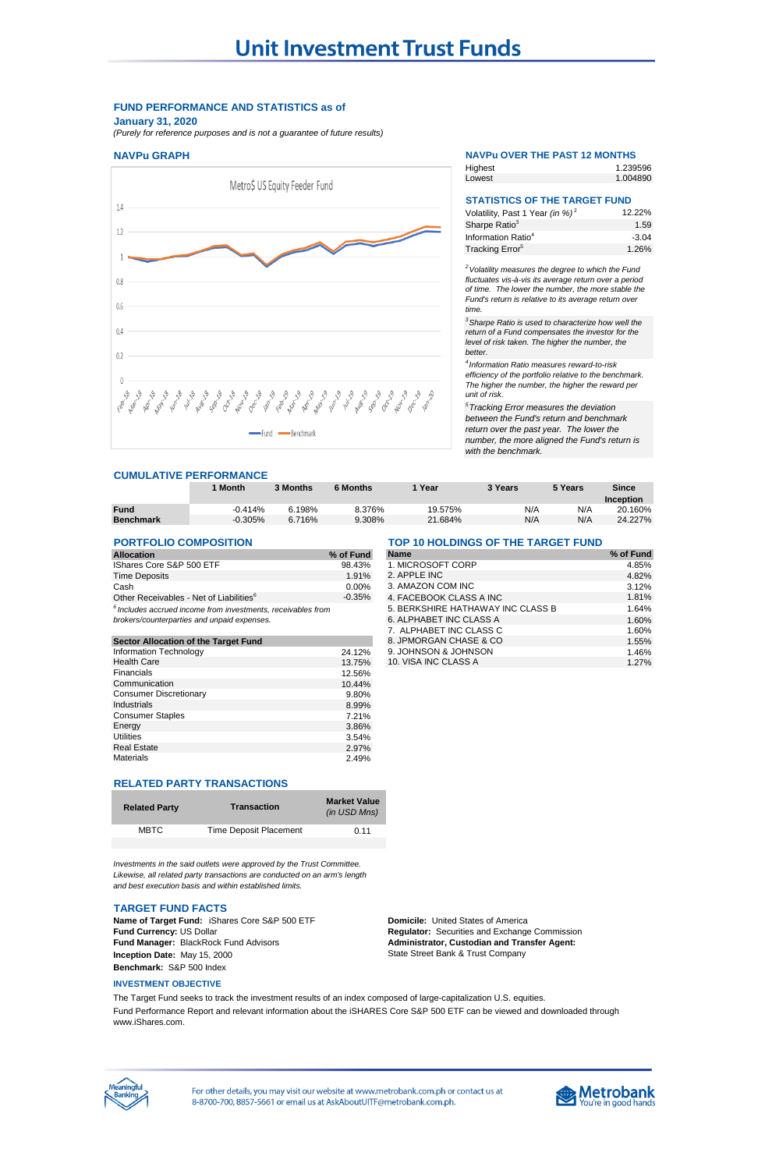## **FUND PERFORMANCE AND STATISTICS as of January 31, 2020**

*(Purely for reference purposes and is not a guarantee of future results)*

#### **NAVPu GRAPH NAVPu OVER THE PAST 12 MONTHS**



#### **CUMULATIVE PERFORMANCE**

|                  | Month     | 3 Months | 6 Months | Year    | 3 Years | 5 Years | Since<br>Inception |
|------------------|-----------|----------|----------|---------|---------|---------|--------------------|
| <b>Fund</b>      | $-0.414%$ | 6.198%   | 8.376%   | 19.575% | N/A     | N/A     | 20.160%            |
| <b>Benchmark</b> | $-0.305%$ | 6.716%   | 9.308%   | 21.684% | N/A     | N/A     | 24.227%            |

# **PORTFOLIO COMPOSITION TOP 10 HOLDINGS OF THE TARGET FUND**

| <b>Allocation</b>                                                                                             | % of Fund |
|---------------------------------------------------------------------------------------------------------------|-----------|
| IShares Core S&P 500 ETF                                                                                      | 98.43%    |
| <b>Time Deposits</b>                                                                                          | 1.91%     |
| Cash                                                                                                          | $0.00\%$  |
| Other Receivables - Net of Liabilities <sup>6</sup>                                                           | $-0.35%$  |
| $6$ Includes accrued income from investments, receivables from<br>brokers/counterparties and unpaid expenses. |           |

|        | 8. JPMORGAN CHASE & CO | 1.55% |
|--------|------------------------|-------|
| 24.12% | 9. JOHNSON & JOHNSON   | 1.46% |
| 13.75% | 10. VISA INC CLASS A   | 1.27% |
| 12.56% |                        |       |
| 10.44% |                        |       |
| 9.80%  |                        |       |
| 8.99%  |                        |       |
| 7.21%  |                        |       |
| 3.86%  |                        |       |
| 3.54%  |                        |       |
| 2.97%  |                        |       |
| 2.49%  |                        |       |
|        |                        |       |

# **RELATED PARTY TRANSACTIONS**

| <b>Related Party</b> | <b>Transaction</b>            | <b>Market Value</b><br>(in USD Mns) |
|----------------------|-------------------------------|-------------------------------------|
| <b>MBTC</b>          | <b>Time Deposit Placement</b> | 0.11                                |
|                      |                               |                                     |

*Investments in the said outlets were approved by the Trust Committee. Likewise, all related party transactions are conducted on an arm's length and best execution basis and within established limits.*

#### **TARGET FUND FACTS**

**Name of Target Fund:** iShares Core S&P 500 ETF **Domicile:** United States of America<br> **Fund Currency:** US Dollar **Domicile:** *Domicile: Regulator: Securities and Exchange* **Fund Manager:** BlackRock Fund Advisors **Inception Date:** May 15, 2000 **Benchmark:** S&P 500 Index

#### **INVESTMENT OBJECTIVE**

The Target Fund seeks to track the investment results of an index composed of large-capitalization U.S. equities. Fund Performance Report and relevant information about the iSHARES Core S&P 500 ETF can be viewed and downloaded through www.iShares.com.



For other details, you may visit our website at www.metrobank.com.ph or contact us at 8-8700-700, 8857-5661 or email us at AskAboutUITF@metrobank.com.ph.

# **Metrobank**

| <b>Allocation</b>                                               | % of Fund | <b>Name</b>                       | % of Fund |
|-----------------------------------------------------------------|-----------|-----------------------------------|-----------|
| <b>IShares Core S&amp;P 500 ETF</b>                             | 98.43%    | 1. MICROSOFT CORP                 | 4.85%     |
| <b>Time Deposits</b>                                            | 1.91%     | 2. APPLE INC                      | 4.82%     |
| Cash                                                            | $0.00\%$  | 3. AMAZON COM INC                 | 3.12%     |
| Other Receivables - Net of Liabilities <sup>6</sup>             | $-0.35%$  | 4. FACEBOOK CLASS A INC           | 1.81%     |
| $^6$ Includes accrued income from investments, receivables from |           | 5. BERKSHIRE HATHAWAY INC CLASS B | 1.64%     |
| brokers/counterparties and unpaid expenses.                     |           | 6. ALPHABET INC CLASS A           | 1.60%     |
|                                                                 |           | 7. ALPHABET INC CLASS C           | 1.60%     |
| Sector Allocation of the Target Fund                            |           | 8. JPMORGAN CHASE & CO            | 1.55%     |
| Information Technology                                          | 24.12%    | 9. JOHNSON & JOHNSON              | 1.46%     |
| <b>Health Care</b>                                              | 1375%     | 10. VISA INC CLASS A              | 1 27%     |

**Regulator:** Securities and Exchange Commission **Administrator, Custodian and Transfer Agent:**  State Street Bank & Trust Company

12.22% 1.59 -3.04 1.26% Volatility, Past 1 Year *(in %)* <sup>2</sup> Sharpe Ratio<sup>3</sup> Information Ratio<sup>4</sup> Tracking Error<sup>5</sup>

**STATISTICS OF THE TARGET FUND**

Highest Lowest

1.239596 1.004890

*<sup>2</sup>Volatility measures the degree to which the Fund fluctuates vis-à-vis its average return over a period of time. The lower the number, the more stable the Fund's return is relative to its average return over time.* 

*<sup>3</sup>Sharpe Ratio is used to characterize how well the return of a Fund compensates the investor for the level of risk taken. The higher the number, the better.*

*4 Information Ratio measures reward-to-risk efficiency of the portfolio relative to the benchmark. The higher the number, the higher the reward per unit of risk.*

*<sup>5</sup>Tracking Error measures the deviation between the Fund's return and benchmark return over the past year. The lower the number, the more aligned the Fund's return is with the benchmark.*